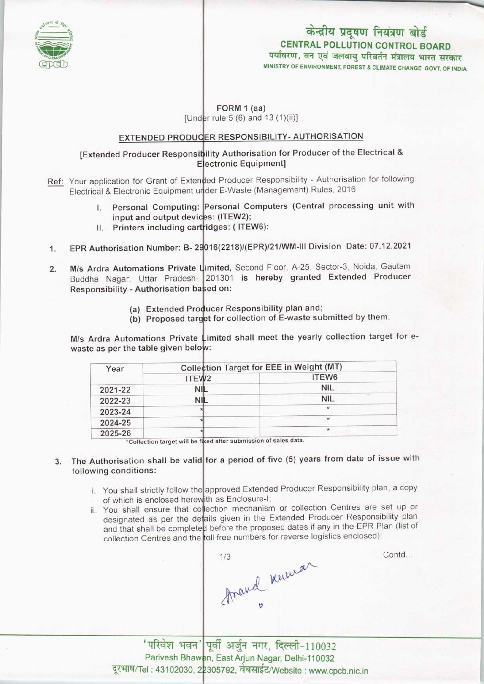

# ENTRAL POLLUTION CONTROL BOARD<br>रण, वन एवं जलवायु परिवर्तन मंत्रालय भारत सरकार CENTRAL POLLUTION CONTROL BOARD केन्द्रीय प्रदूषण नि<br>CENTRAL POLLUTION CO

MINISTRY OF ENVIRONMENT, FOREST & CLIMATE CHANGE GOVT. OF INDIA

### FORM 1 (aa) [Under rule 5  $(6)$  and 13  $(1)(ii)$ ]

#### EXTENDED PRODUCER RESPONSIBILITY- AUTHORISATION

## [Extended Producer Responsibility Authorisation for Producer of the Electrical & Electronic Equipment]

- Ref: Your application for Grant of Extended Producer Responsibility Authorisation for following Electrical & Electronic Equipment under E-Waste (Management) Rules, 2016
	- al & Electronic Equipment under E-Waste (Management) Rules, 2016<br>I. Personal Computing: Personal Computers (Central processing unit with input and output devic<mark>es: (ITEW2)</mark>; input and output devices: (ITEW2);<br>II. Printers including cartridges: (ITEW6):
	-
- 1. EPR Authorisation Number: B- 29016(2218)/(EPR)/21/WM-III Division Date: 07.12.2021
- M/s Ardra Automations Private Limited, Second Floor, A-25, Sector-3, Noida, Gautam  $2.$ M/s Ardra Automations Private Limited, Second Piool, A-25, Sector-5, Nolda, Gadam<br>Buddha Nagar, Uttar Pradesh- 201301 is hereby granted Extended Producer Responsibility - Authorisation ba<mark>s</mark>ed on:
	- (a) Extended Producer Responsibility plan and;
	- (a) Extended Producer Responsibility plan and,<br>(b) Proposed target for collection of E-waste submitted by them.

M/s Ardra Automations Private Limited shall meet the yearly collection target for ewaste as per the table given below:

| Year    | Collection Target for EEE in Weight (MT) |            |
|---------|------------------------------------------|------------|
|         | ITEW <sub>2</sub>                        | ITEW6      |
| 2021-22 | <b>NIL</b>                               | <b>NIL</b> |
| 2022-23 | NIL                                      | <b>NIL</b> |
| 2023-24 |                                          | $\star$    |
| 2024-25 |                                          | $\star$    |
| 2025-26 |                                          | $\star$    |

- 3. The Authorisation shall be valid for a period of five (5) years from date of issue with following conditions:
	- i. You shall strictly follow the approved Extended Producer Responsibility plan, a copy of which is enclosed herewith as Enclosure-I;
	- ii. You shall ensure that collection mechanism or collection Centres are set up or rou shall ensure that collection medicinement of concerned producer Responsibility planet designated as per the details given in the Extended Producer Responsibility plan and that shall be completed before the proposed dates if any in the EPR Plan (list of collection Centres and the foll free numbers for reverse logistics enclosed)

grand knowar

Contd...

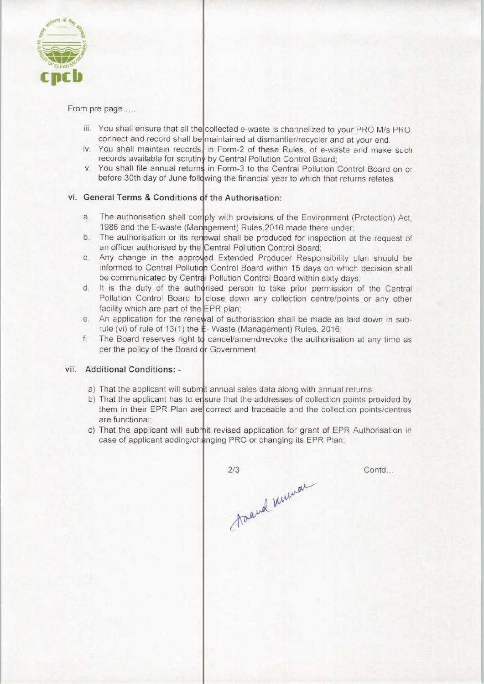

From pre page.....

- iii. You shall ensure that all the collected e-waste is channelized to your PRO M/s PRO connect and record shall be maintained at dismantler/recycler and at your end.
- iv. You shall maintain records, in Form-2 of these Rules, of e-waste and make such records available for scrutiny by Central Pollution Control Board
- v. You shall file annual returns in Form-3 to the Central Pollution Control Board on or before 30th day of June following the financial year to which that returns relates

# vi. General Terms & Conditions of the Authorisation:

- a. The authorisation shall comply with provisions of the Environment (Protection) Act
- 1986 and the E-waste (Management) Rules,2016 made there under<br>b. The authorisation or its renewal shall be produced for inspection a The authorisation or its renewal shall be produced for inspection at the request of
- an officer authorised by the Central Pollution Control Board<br>
c. Any change in the approved Extended Producer Responses Any change in the approved Extended Producer Responsibility plan should be informed to Central Pollution Control Board within 15 days on which decision shall be communicated by Central Pollution Control Board within sixty days
- be communicated by Central Pollution Control Board within sixty days;<br>d. It is the duty of the authorised person to take prior permission of the Central Pollution Control Board to close down any collection centre/points or any other
- facility which are part of the EPR plan;<br>e. An application for the renewal of auth An application for the renewal of authorisation shall be made as laid down in sub-
- rule (vi) of rule of 13(1) the E-Waste (Management) Rules, 2016<br>f. The Board reserves right to cancel/amend/revoke the authorisa The Board reserves right to cancel/amend/revoke the authorisation at any time as per the policy of the Board or Government.

#### vii. Additional Conditions: -

- a) That the applicant will submit annual sales data along with annual returns
- b) That the applicant has to ensure that the addresses of collection points provided by them in their EPR Plan are correct and traceable and the collection points/centres are functional;
- c) That the applicant will submit revised application for grant of EPR Authorisation in case of applicant adding/changing PRO or changing its EPR Plan

 $2/3$ 

Contd...

foard mural